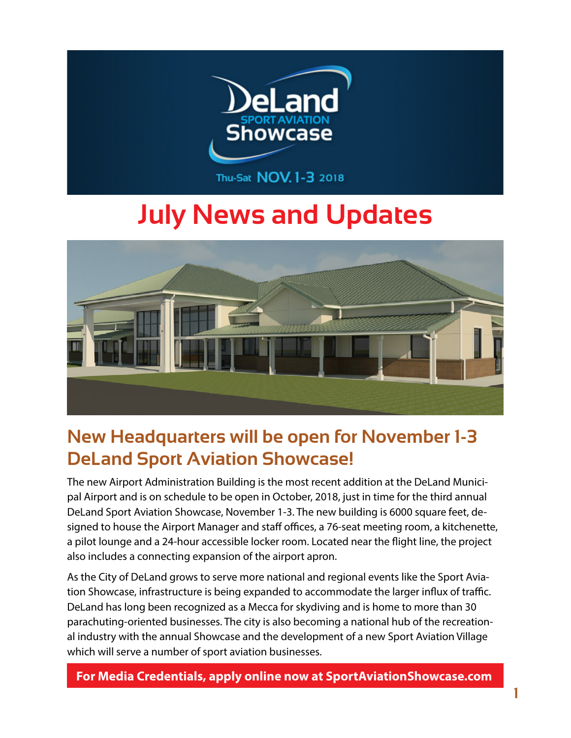

# **July News and Updates**



### **New Headquarters will be open for November 1-3 DeLand Sport Aviation Showcase!**

The new Airport Administration Building is the most recent addition at the DeLand Municipal Airport and is on schedule to be open in October, 2018, just in time for the third annual DeLand Sport Aviation Showcase, November 1-3. The new building is 6000 square feet, designed to house the Airport Manager and staff offices, a 76-seat meeting room, a kitchenette, a pilot lounge and a 24-hour accessible locker room. Located near the flight line, the project also includes a connecting expansion of the airport apron.

As the City of DeLand grows to serve more national and regional events like the Sport Aviation Showcase, infrastructure is being expanded to accommodate the larger influx of traffic. DeLand has long been recognized as a Mecca for skydiving and is home to more than 30 parachuting-oriented businesses. The city is also becoming a national hub of the recreational industry with the annual Showcase and the development of a new Sport Aviation Village which will serve a number of sport aviation businesses.

**For Media Credentials, apply online now at SportAviationShowcase.com**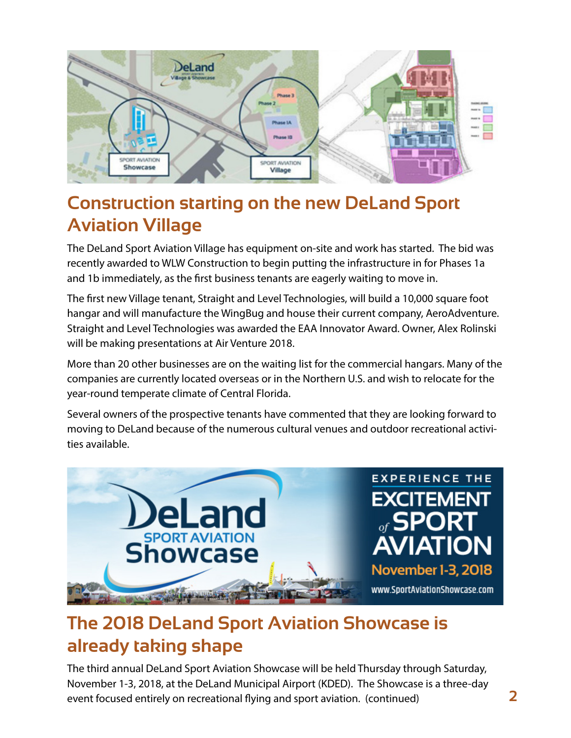

# **Construction starting on the new DeLand Sport Aviation Village**

The DeLand Sport Aviation Village has equipment on-site and work has started. The bid was recently awarded to WLW Construction to begin putting the infrastructure in for Phases 1a and 1b immediately, as the first business tenants are eagerly waiting to move in.

The first new Village tenant, Straight and Level Technologies, will build a 10,000 square foot hangar and will manufacture the WingBug and house their current company, AeroAdventure. Straight and Level Technologies was awarded the EAA Innovator Award. Owner, Alex Rolinski will be making presentations at Air Venture 2018.

More than 20 other businesses are on the waiting list for the commercial hangars. Many of the companies are currently located overseas or in the Northern U.S. and wish to relocate for the year-round temperate climate of Central Florida.

Several owners of the prospective tenants have commented that they are looking forward to moving to DeLand because of the numerous cultural venues and outdoor recreational activities available.



# **The 2018 DeLand Sport Aviation Showcase is already taking shape**

The third annual DeLand Sport Aviation Showcase will be held Thursday through Saturday, November 1-3, 2018, at the DeLand Municipal Airport (KDED). The Showcase is a three-day event focused entirely on recreational flying and sport aviation. (continued)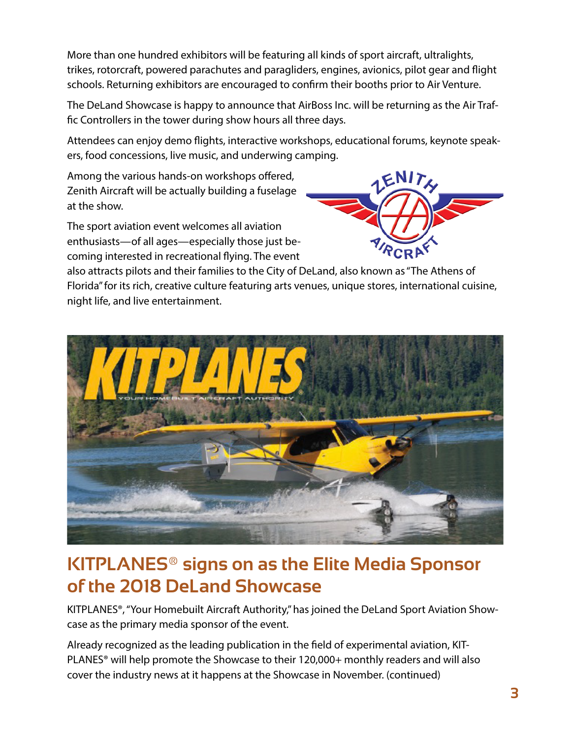More than one hundred exhibitors will be featuring all kinds of sport aircraft, ultralights, trikes, rotorcraft, powered parachutes and paragliders, engines, avionics, pilot gear and flight schools. Returning exhibitors are encouraged to confirm their booths prior to Air Venture.

The DeLand Showcase is happy to announce that AirBoss Inc. will be returning as the Air Traffic Controllers in the tower during show hours all three days.

Attendees can enjoy demo flights, interactive workshops, educational forums, keynote speakers, food concessions, live music, and underwing camping.

Among the various hands-on workshops offered, Zenith Aircraft will be actually building a fuselage at the show.

The sport aviation event welcomes all aviation enthusiasts—of all ages—especially those just becoming interested in recreational flying. The event



also attracts pilots and their families to the City of DeLand, also known as "The Athens of Florida" for its rich, creative culture featuring arts venues, unique stores, international cuisine, night life, and live entertainment.



#### **KITPLANES® signs on as the Elite Media Sponsor of the 2018 DeLand Showcase**

KITPLANES®, "Your Homebuilt Aircraft Authority," has joined the DeLand Sport Aviation Showcase as the primary media sponsor of the event.

Already recognized as the leading publication in the field of experimental aviation, KIT-PLANES<sup>®</sup> will help promote the Showcase to their 120,000+ monthly readers and will also cover the industry news at it happens at the Showcase in November. (continued)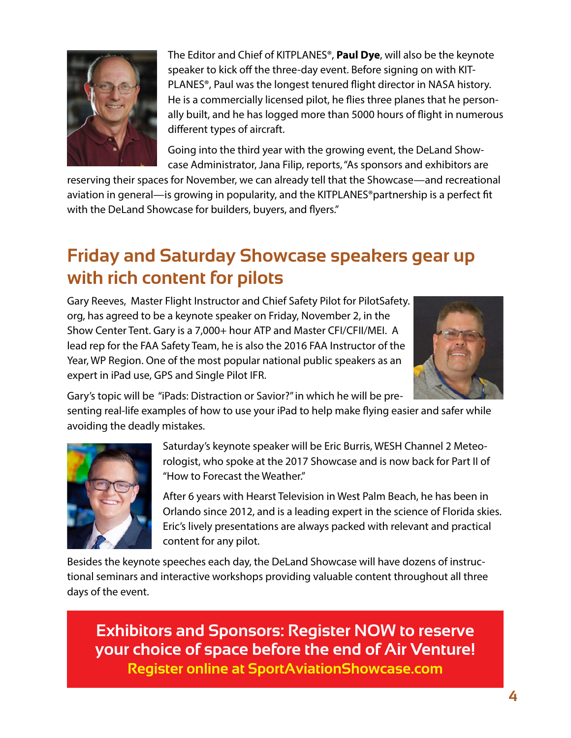

The Editor and Chief of KITPLANES®, **Paul Dye**, will also be the keynote speaker to kick off the three-day event. Before signing on with KIT-PLANES®, Paul was the longest tenured flight director in NASA history. He is a commercially licensed pilot, he flies three planes that he personally built, and he has logged more than 5000 hours of flight in numerous different types of aircraft.

Going into the third year with the growing event, the DeLand Showcase Administrator, Jana Filip, reports, "As sponsors and exhibitors are

reserving their spaces for November, we can already tell that the Showcase—and recreational aviation in general—is growing in popularity, and the KITPLANES®partnership is a perfect fit with the DeLand Showcase for builders, buyers, and flyers."

### **Friday and Saturday Showcase speakers gear up with rich content for pilots**

Gary Reeves, Master Flight Instructor and Chief Safety Pilot for PilotSafety. org, has agreed to be a keynote speaker on Friday, November 2, in the Show Center Tent. Gary is a 7,000+ hour ATP and Master CFI/CFII/MEI. A lead rep for the FAA Safety Team, he is also the 2016 FAA Instructor of the Year, WP Region. One of the most popular national public speakers as an expert in iPad use, GPS and Single Pilot IFR.



Gary's topic will be "iPads: Distraction or Savior?" in which he will be pre-

senting real-life examples of how to use your iPad to help make flying easier and safer while avoiding the deadly mistakes.



Saturday's keynote speaker will be Eric Burris, WESH Channel 2 Meteorologist, who spoke at the 2017 Showcase and is now back for Part II of "How to Forecast the Weather."

After 6 years with Hearst Television in West Palm Beach, he has been in Orlando since 2012, and is a leading expert in the science of Florida skies. Eric's lively presentations are always packed with relevant and practical content for any pilot.

Besides the keynote speeches each day, the DeLand Showcase will have dozens of instructional seminars and interactive workshops providing valuable content throughout all three days of the event.

**Exhibitors and Sponsors: Register NOW to reserve your choice of space before the end of Air Venture!**

**Register online at SportAviationShowcase.com**